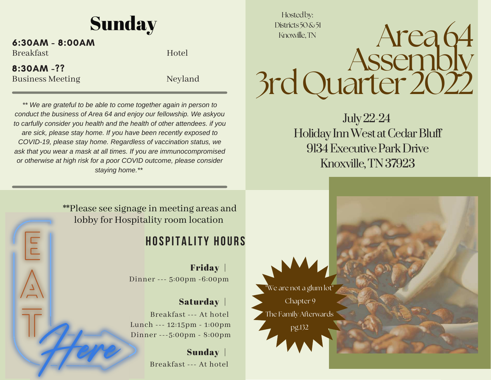### **Sunday**

#### $6:30AM - 8:00AM$

Breakfast Hotel

 $8:30AM - ??$ 

Business Meeting Neyland

\*\* We are grateful to be able to come together again in person to conduct the business of Area 64 and enjoy our fellowship. We askyou to carfully consider you health and the health of other attendees. if you are sick, please stay home. If you have been recently exposed to *COVID-19, please stay home. Regardless of vaccination status, we* ask that you wear a mask at all times. If you are immunocompromised or otherwise at high risk for a poor COVID outcome, please consider *staying home.\*\**

Hostedby: Districts50&51 Knoxville,TN

 Assembly3rd Quarter 2022

Area64

July 22-24 Holiday Inn West at Cedar Bluff9134 Executive Park DriveKnoxville, TN 37923